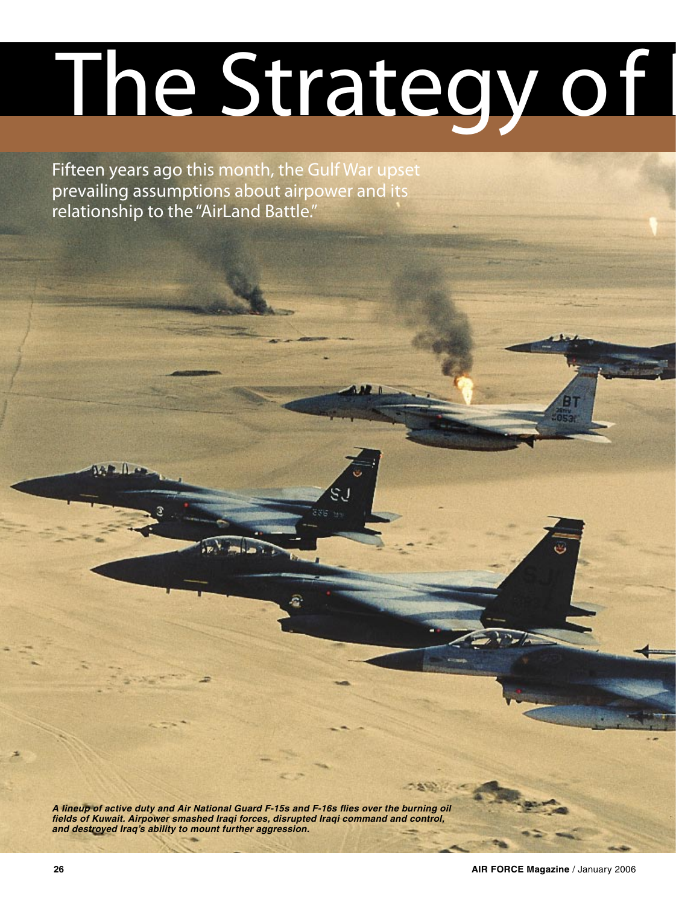# **The Strategy of I**

Fifteen years ago this month, the Gulf War upset prevailing assumptions about airpower and its relationship to the "AirLand Battle."

**A lineup of active duty and Air National Guard F-15s and F-16s flies over the burning oil fields of Kuwait. Airpower smashed Iraqi forces, disrupted Iraqi command and control, and destroyed Iraq's ability to mount further aggression.**

**SAMP** 

 $AP$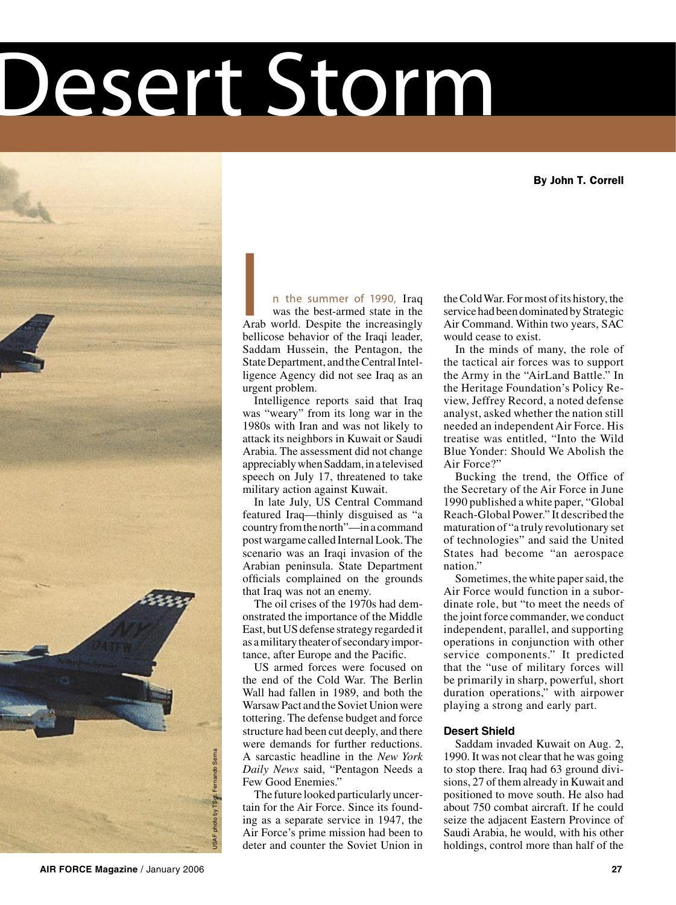# Desert Storm

By John T. Correll



**n the summer of 1990,** Iraq was the best-armed state in the Arab world. Despite the increasingly **I** bellicose behavior of the Iraqi leader, Saddam Hussein, the Pentagon, the State Department, and the Central Intelligence Agency did not see Iraq as an urgent problem.

Intelligence reports said that Iraq was "weary" from its long war in the 1980s with Iran and was not likely to attack its neighbors in Kuwait or Saudi Arabia. The assessment did not change appreciably when Saddam, in a televised speech on July 17, threatened to take military action against Kuwait.

In late July, US Central Command featured Iraq—thinly disguised as "a country from the north"—in a command post wargame called Internal Look. The scenario was an Iraqi invasion of the Arabian peninsula. State Department officials complained on the grounds that Iraq was not an enemy.

The oil crises of the 1970s had demonstrated the importance of the Middle East, but US defense strategy regarded it as a military theater of secondary importance, after Europe and the Pacific.

US armed forces were focused on the end of the Cold War. The Berlin Wall had fallen in 1989, and both the Warsaw Pact and the Soviet Union were tottering. The defense budget and force structure had been cut deeply, and there were demands for further reductions. A sarcastic headline in the *New York Daily News* said, "Pentagon Needs a Few Good Enemies."

The future looked particularly uncertain for the Air Force. Since its founding as a separate service in 1947, the Air Force's prime mission had been to deter and counter the Soviet Union in

the Cold War. For most of its history, the service had been dominated by Strategic Air Command. Within two years, SAC would cease to exist.

In the minds of many, the role of the tactical air forces was to support the Army in the "AirLand Battle." In the Heritage Foundation's Policy Review, Jeffrey Record, a noted defense analyst, asked whether the nation still needed an independent Air Force. His treatise was entitled, "Into the Wild Blue Yonder: Should We Abolish the Air Force?"

Bucking the trend, the Office of the Secretary of the Air Force in June 1990 published a white paper, "Global Reach-Global Power." It described the maturation of "a truly revolutionary set of technologies" and said the United States had become "an aerospace nation."

Sometimes, the white paper said, the Air Force would function in a subordinate role, but "to meet the needs of the joint force commander, we conduct independent, parallel, and supporting operations in conjunction with other service components." It predicted that the "use of military forces will be primarily in sharp, powerful, short duration operations," with airpower playing a strong and early part.

# **Desert Shield**

Saddam invaded Kuwait on Aug. 2, 1990. It was not clear that he was going to stop there. Iraq had 63 ground divisions, 27 of them already in Kuwait and positioned to move south. He also had about 750 combat aircraft. If he could seize the adjacent Eastern Province of Saudi Arabia, he would, with his other holdings, control more than half of the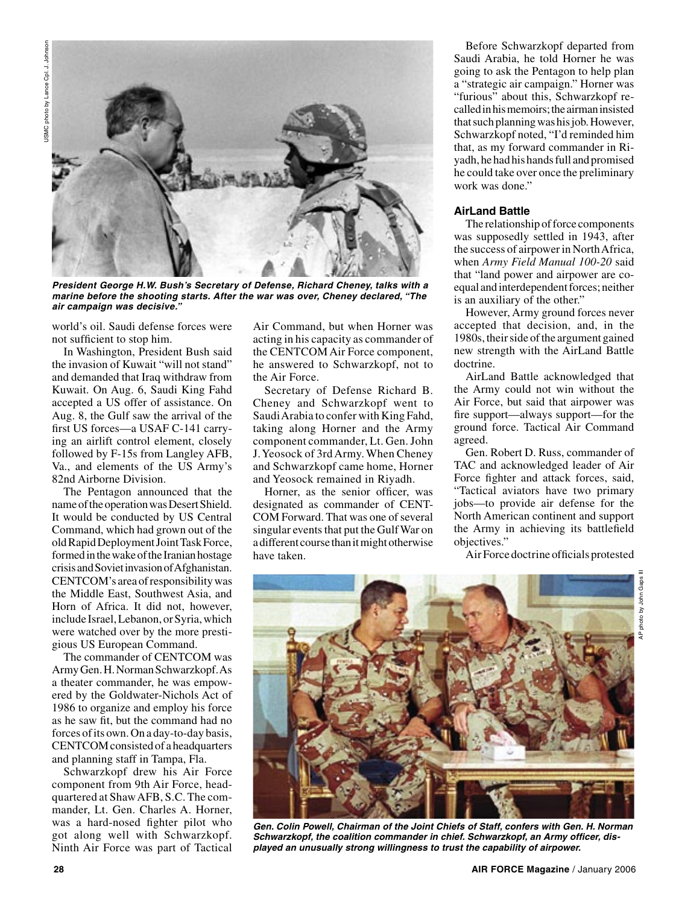

**President George H.W. Bush's Secretary of Defense, Richard Cheney, talks with a marine before the shooting starts. After the war was over, Cheney declared, "The air campaign was decisive."**

world's oil. Saudi defense forces were not sufficient to stop him.

In Washington, President Bush said the invasion of Kuwait "will not stand" and demanded that Iraq withdraw from Kuwait. On Aug. 6, Saudi King Fahd accepted a US offer of assistance. On Aug. 8, the Gulf saw the arrival of the first US forces—a USAF C-141 carrying an airlift control element, closely followed by F-15s from Langley AFB, Va., and elements of the US Army's 82nd Airborne Division.

The Pentagon announced that the name of the operation was Desert Shield. It would be conducted by US Central Command, which had grown out of the old Rapid Deployment Joint Task Force, formed in the wake of the Iranian hostage crisis and Soviet invasion of Afghanistan. CENTCOM's area of responsibility was the Middle East, Southwest Asia, and Horn of Africa. It did not, however, include Israel, Lebanon, or Syria, which were watched over by the more prestigious US European Command.

The commander of CENTCOM was Army Gen. H. Norman Schwarzkopf. As a theater commander, he was empowered by the Goldwater-Nichols Act of 1986 to organize and employ his force as he saw fit, but the command had no forces of its own. On a day-to-day basis, CENTCOM consisted of a headquarters and planning staff in Tampa, Fla.

Schwarzkopf drew his Air Force component from 9th Air Force, headquartered at Shaw AFB, S.C. The commander, Lt. Gen. Charles A. Horner, was a hard-nosed fighter pilot who got along well with Schwarzkopf. Ninth Air Force was part of Tactical Air Command, but when Horner was acting in his capacity as commander of the CENTCOM Air Force component, he answered to Schwarzkopf, not to the Air Force.

Secretary of Defense Richard B. Cheney and Schwarzkopf went to Saudi Arabia to confer with King Fahd, taking along Horner and the Army component commander, Lt. Gen. John J. Yeosock of 3rd Army. When Cheney and Schwarzkopf came home, Horner and Yeosock remained in Riyadh.

Horner, as the senior officer, was designated as commander of CENT-COM Forward. That was one of several singular events that put the Gulf War on a different course than it might otherwise have taken.

Before Schwarzkopf departed from Saudi Arabia, he told Horner he was going to ask the Pentagon to help plan a "strategic air campaign." Horner was "furious" about this, Schwarzkopf recalled in his memoirs; the airman insisted that such planning was his job. However, Schwarzkopf noted, "I'd reminded him that, as my forward commander in Riyadh, he had his hands full and promised he could take over once the preliminary work was done."

# **AirLand Battle**

The relationship of force components was supposedly settled in 1943, after the success of airpower in North Africa, when *Army Field Manual 100-20* said that "land power and airpower are coequal and interdependent forces; neither is an auxiliary of the other."

However, Army ground forces never accepted that decision, and, in the 1980s, their side of the argument gained new strength with the AirLand Battle doctrine.

AirLand Battle acknowledged that the Army could not win without the Air Force, but said that airpower was fire support—always support—for the ground force. Tactical Air Command agreed.

Gen. Robert D. Russ, commander of TAC and acknowledged leader of Air Force fighter and attack forces, said, "Tactical aviators have two primary jobs—to provide air defense for the North American continent and support the Army in achieving its battlefield objectives."

Air Force doctrine officials protested



**Gen. Colin Powell, Chairman of the Joint Chiefs of Staff, confers with Gen. H. Norman Schwarzkopf, the coalition commander in chief. Schwarzkopf, an Army officer, displayed an unusually strong willingness to trust the capability of airpower.**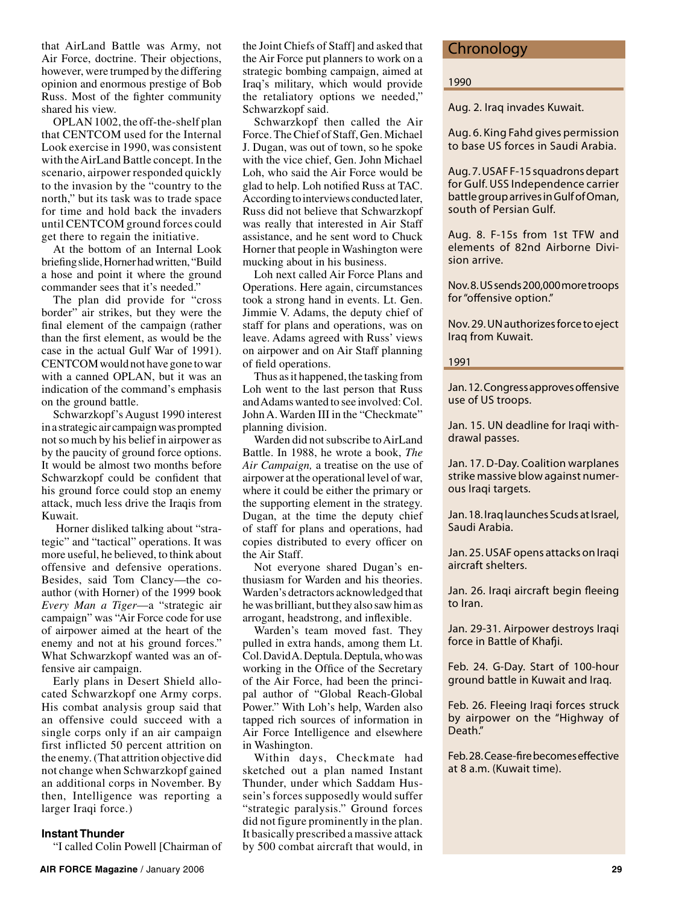that AirLand Battle was Army, not Air Force, doctrine. Their objections, however, were trumped by the differing opinion and enormous prestige of Bob Russ. Most of the fighter community shared his view.

OPLAN 1002, the off-the-shelf plan that CENTCOM used for the Internal Look exercise in 1990, was consistent with the AirLand Battle concept. In the scenario, airpower responded quickly to the invasion by the "country to the north," but its task was to trade space for time and hold back the invaders until CENTCOM ground forces could get there to regain the initiative.

At the bottom of an Internal Look briefing slide, Horner had written, "Build a hose and point it where the ground commander sees that it's needed."

The plan did provide for "cross border" air strikes, but they were the final element of the campaign (rather than the first element, as would be the case in the actual Gulf War of 1991). CENTCOM would not have gone to war with a canned OPLAN, but it was an indication of the command's emphasis on the ground battle.

Schwarzkopf's August 1990 interest in a strategic air campaign was prompted not so much by his belief in airpower as by the paucity of ground force options. It would be almost two months before Schwarzkopf could be confident that his ground force could stop an enemy attack, much less drive the Iraqis from Kuwait.

 Horner disliked talking about "strategic" and "tactical" operations. It was more useful, he believed, to think about offensive and defensive operations. Besides, said Tom Clancy—the coauthor (with Horner) of the 1999 book *Every Man a Tiger*—a "strategic air campaign" was "Air Force code for use of airpower aimed at the heart of the enemy and not at his ground forces." What Schwarzkopf wanted was an offensive air campaign.

Early plans in Desert Shield allocated Schwarzkopf one Army corps. His combat analysis group said that an offensive could succeed with a single corps only if an air campaign first inflicted 50 percent attrition on the enemy. (That attrition objective did not change when Schwarzkopf gained an additional corps in November. By then, Intelligence was reporting a larger Iraqi force.)

#### **Instant Thunder**

"I called Colin Powell [Chairman of

the Joint Chiefs of Staff] and asked that the Air Force put planners to work on a strategic bombing campaign, aimed at Iraq's military, which would provide the retaliatory options we needed," Schwarzkopf said.

Schwarzkopf then called the Air Force. The Chief of Staff, Gen. Michael J. Dugan, was out of town, so he spoke with the vice chief, Gen. John Michael Loh, who said the Air Force would be glad to help. Loh notified Russ at TAC. According to interviews conducted later, Russ did not believe that Schwarzkopf was really that interested in Air Staff assistance, and he sent word to Chuck Horner that people in Washington were mucking about in his business.

Loh next called Air Force Plans and Operations. Here again, circumstances took a strong hand in events. Lt. Gen. Jimmie V. Adams, the deputy chief of staff for plans and operations, was on leave. Adams agreed with Russ' views on airpower and on Air Staff planning of field operations.

Thus as it happened, the tasking from Loh went to the last person that Russ and Adams wanted to see involved: Col. John A. Warden III in the "Checkmate" planning division.

Warden did not subscribe to AirLand Battle. In 1988, he wrote a book, *The Air Campaign,* a treatise on the use of airpower at the operational level of war, where it could be either the primary or the supporting element in the strategy. Dugan, at the time the deputy chief of staff for plans and operations, had copies distributed to every officer on the Air Staff.

Not everyone shared Dugan's enthusiasm for Warden and his theories. Warden's detractors acknowledged that he was brilliant, but they also saw him as arrogant, headstrong, and inflexible.

Warden's team moved fast. They pulled in extra hands, among them Lt. Col. David A. Deptula. Deptula, who was working in the Office of the Secretary of the Air Force, had been the principal author of "Global Reach-Global Power." With Loh's help, Warden also tapped rich sources of information in Air Force Intelligence and elsewhere in Washington.

Within days, Checkmate had sketched out a plan named Instant Thunder, under which Saddam Hussein's forces supposedly would suffer "strategic paralysis." Ground forces did not figure prominently in the plan. It basically prescribed a massive attack by 500 combat aircraft that would, in

# **Chronology**

#### **1990**

Aug. 2. Iraq invades Kuwait.

Aug. 6. King Fahd gives permission to base US forces in Saudi Arabia.

Aug. 7. USAF F-15 squadrons depart for Gulf. USS *Independence* carrier battle group arrives in Gulf of Oman, south of Persian Gulf.

Aug. 8. F-15s from 1st TFW and elements of 82nd Airborne Division arrive.

Nov. 8. US sends 200,000 more troops for "offensive option."

Nov. 29. UN authorizes force to eject Iraq from Kuwait.

**1991**

Jan. 12. Congress approves offensive use of US troops.

Jan. 15. UN deadline for Iraqi withdrawal passes.

Jan. 17. D-Day. Coalition warplanes strike massive blow against numerous Iraqi targets.

Jan. 18. Iraq launches Scuds at Israel, Saudi Arabia.

Jan. 25. USAF opens attacks on Iraqi aircraft shelters.

Jan. 26. Iraqi aircraft begin fleeing to Iran.

Jan. 29-31. Airpower destroys Iraqi force in Battle of Khafji.

Feb. 24. G-Day. Start of 100-hour ground battle in Kuwait and Iraq.

Feb. 26. Fleeing Iraqi forces struck by airpower on the "Highway of Death."

Feb. 28. Cease-fire becomes effective at 8 a.m. (Kuwait time).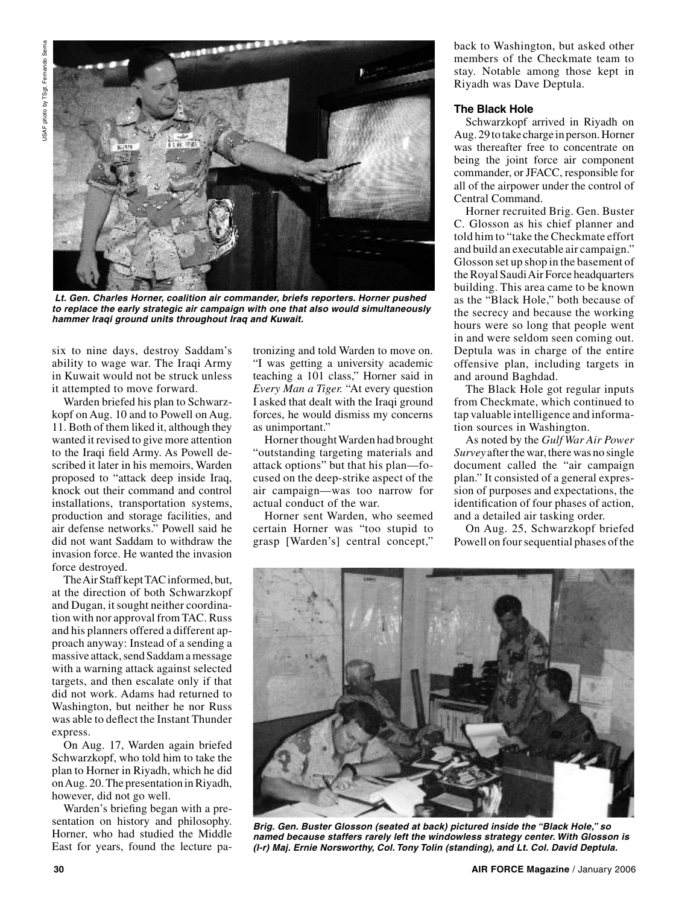

 **Lt. Gen. Charles Horner, coalition air commander, briefs reporters. Horner pushed to replace the early strategic air campaign with one that also would simultaneously hammer Iraqi ground units throughout Iraq and Kuwait.**

six to nine days, destroy Saddam's ability to wage war. The Iraqi Army in Kuwait would not be struck unless it attempted to move forward.

Warden briefed his plan to Schwarzkopf on Aug. 10 and to Powell on Aug. 11. Both of them liked it, although they wanted it revised to give more attention to the Iraqi field Army. As Powell described it later in his memoirs, Warden proposed to "attack deep inside Iraq, knock out their command and control installations, transportation systems, production and storage facilities, and air defense networks." Powell said he did not want Saddam to withdraw the invasion force. He wanted the invasion force destroyed.

The Air Staff kept TAC informed, but, at the direction of both Schwarzkopf and Dugan, it sought neither coordination with nor approval from TAC. Russ and his planners offered a different approach anyway: Instead of a sending a massive attack, send Saddam a message with a warning attack against selected targets, and then escalate only if that did not work. Adams had returned to Washington, but neither he nor Russ was able to deflect the Instant Thunder express.

On Aug. 17, Warden again briefed Schwarzkopf, who told him to take the plan to Horner in Riyadh, which he did on Aug. 20. The presentation in Riyadh, however, did not go well.

Warden's briefing began with a presentation on history and philosophy. Horner, who had studied the Middle East for years, found the lecture patronizing and told Warden to move on. "I was getting a university academic teaching a 101 class," Horner said in *Every Man a Tiger.* "At every question I asked that dealt with the Iraqi ground forces, he would dismiss my concerns as unimportant."

Horner thought Warden had brought "outstanding targeting materials and attack options" but that his plan—focused on the deep-strike aspect of the air campaign—was too narrow for actual conduct of the war.

Horner sent Warden, who seemed certain Horner was "too stupid to grasp [Warden's] central concept,"

back to Washington, but asked other members of the Checkmate team to stay. Notable among those kept in Riyadh was Dave Deptula.

# **The Black Hole**

Schwarzkopf arrived in Riyadh on Aug. 29 to take charge in person. Horner was thereafter free to concentrate on being the joint force air component commander, or JFACC, responsible for all of the airpower under the control of Central Command.

Horner recruited Brig. Gen. Buster C. Glosson as his chief planner and told him to "take the Checkmate effort and build an executable air campaign." Glosson set up shop in the basement of the Royal Saudi Air Force headquarters building. This area came to be known as the "Black Hole," both because of the secrecy and because the working hours were so long that people went in and were seldom seen coming out. Deptula was in charge of the entire offensive plan, including targets in and around Baghdad.

The Black Hole got regular inputs from Checkmate, which continued to tap valuable intelligence and information sources in Washington.

As noted by the *Gulf War Air Power Survey* after the war, there was no single document called the "air campaign plan." It consisted of a general expression of purposes and expectations, the identification of four phases of action, and a detailed air tasking order.

On Aug. 25, Schwarzkopf briefed Powell on four sequential phases of the



**Brig. Gen. Buster Glosson (seated at back) pictured inside the "Black Hole," so named because staffers rarely left the windowless strategy center. With Glosson is (l-r) Maj. Ernie Norsworthy, Col. Tony Tolin (standing), and Lt. Col. David Deptula.**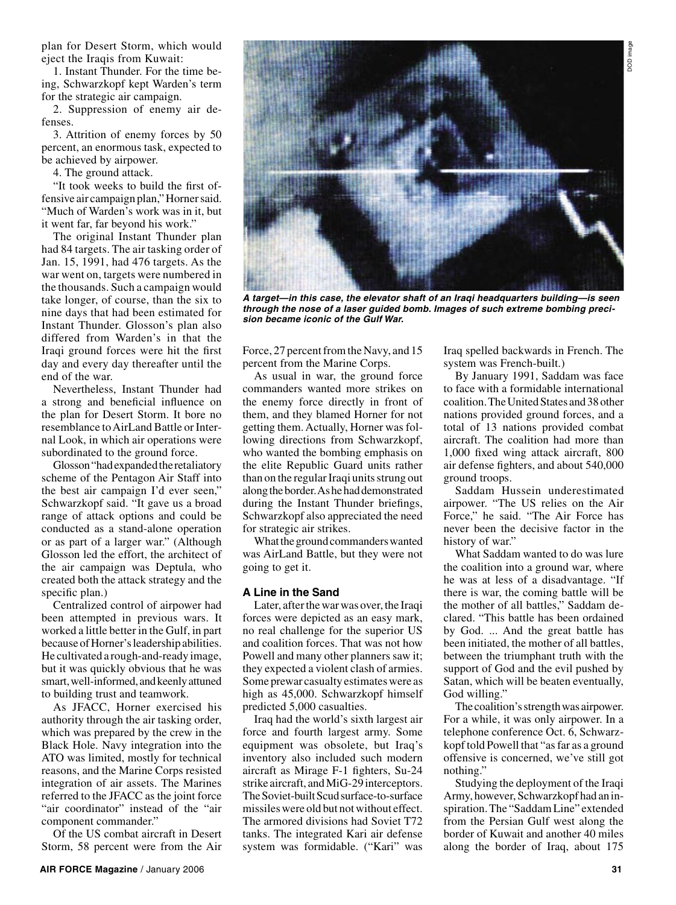plan for Desert Storm, which would eject the Iraqis from Kuwait:

1. Instant Thunder. For the time being, Schwarzkopf kept Warden's term for the strategic air campaign.

2. Suppression of enemy air defenses.

3. Attrition of enemy forces by 50 percent, an enormous task, expected to be achieved by airpower.

4. The ground attack.

"It took weeks to build the first offensive air campaign plan," Horner said. "Much of Warden's work was in it, but it went far, far beyond his work."

The original Instant Thunder plan had 84 targets. The air tasking order of Jan. 15, 1991, had 476 targets. As the war went on, targets were numbered in the thousands. Such a campaign would take longer, of course, than the six to nine days that had been estimated for Instant Thunder. Glosson's plan also differed from Warden's in that the Iraqi ground forces were hit the first day and every day thereafter until the end of the war.

Nevertheless, Instant Thunder had a strong and beneficial influence on the plan for Desert Storm. It bore no resemblance to AirLand Battle or Internal Look, in which air operations were subordinated to the ground force.

Glosson "had expanded the retaliatory scheme of the Pentagon Air Staff into the best air campaign I'd ever seen," Schwarzkopf said. "It gave us a broad range of attack options and could be conducted as a stand-alone operation or as part of a larger war." (Although Glosson led the effort, the architect of the air campaign was Deptula, who created both the attack strategy and the specific plan.)

Centralized control of airpower had been attempted in previous wars. It worked a little better in the Gulf, in part because of Horner's leadership abilities. He cultivated a rough-and-ready image, but it was quickly obvious that he was smart, well-informed, and keenly attuned to building trust and teamwork.

As JFACC, Horner exercised his authority through the air tasking order, which was prepared by the crew in the Black Hole. Navy integration into the ATO was limited, mostly for technical reasons, and the Marine Corps resisted integration of air assets. The Marines referred to the JFACC as the joint force "air coordinator" instead of the "air component commander."

Of the US combat aircraft in Desert Storm, 58 percent were from the Air



**A target—in this case, the elevator shaft of an Iraqi headquarters building—is seen through the nose of a laser guided bomb. Images of such extreme bombing precision became iconic of the Gulf War.**

Force, 27 percent from the Navy, and 15 percent from the Marine Corps.

As usual in war, the ground force commanders wanted more strikes on the enemy force directly in front of them, and they blamed Horner for not getting them. Actually, Horner was following directions from Schwarzkopf, who wanted the bombing emphasis on the elite Republic Guard units rather than on the regular Iraqi units strung out along the border. As he had demonstrated during the Instant Thunder briefings, Schwarzkopf also appreciated the need for strategic air strikes.

What the ground commanders wanted was AirLand Battle, but they were not going to get it.

# **A Line in the Sand**

Later, after the war was over, the Iraqi forces were depicted as an easy mark, no real challenge for the superior US and coalition forces. That was not how Powell and many other planners saw it; they expected a violent clash of armies. Some prewar casualty estimates were as high as 45,000. Schwarzkopf himself predicted 5,000 casualties.

Iraq had the world's sixth largest air force and fourth largest army. Some equipment was obsolete, but Iraq's inventory also included such modern aircraft as Mirage F-1 fighters, Su-24 strike aircraft, and MiG-29 interceptors. The Soviet-built Scud surface-to-surface missiles were old but not without effect. The armored divisions had Soviet T72 tanks. The integrated Kari air defense system was formidable. ("Kari" was

Iraq spelled backwards in French. The system was French-built.)

DOD imageporni dod

By January 1991, Saddam was face to face with a formidable international coalition. The United States and 38 other nations provided ground forces, and a total of 13 nations provided combat aircraft. The coalition had more than 1,000 fixed wing attack aircraft, 800 air defense fighters, and about 540,000 ground troops.

Saddam Hussein underestimated airpower. "The US relies on the Air Force," he said. "The Air Force has never been the decisive factor in the history of war."

What Saddam wanted to do was lure the coalition into a ground war, where he was at less of a disadvantage. "If there is war, the coming battle will be the mother of all battles," Saddam declared. "This battle has been ordained by God. ... And the great battle has been initiated, the mother of all battles, between the triumphant truth with the support of God and the evil pushed by Satan, which will be beaten eventually, God willing."

The coalition's strength was airpower. For a while, it was only airpower. In a telephone conference Oct. 6, Schwarzkopf told Powell that "as far as a ground offensive is concerned, we've still got nothing."

Studying the deployment of the Iraqi Army, however, Schwarzkopf had an inspiration. The "Saddam Line" extended from the Persian Gulf west along the border of Kuwait and another 40 miles along the border of Iraq, about 175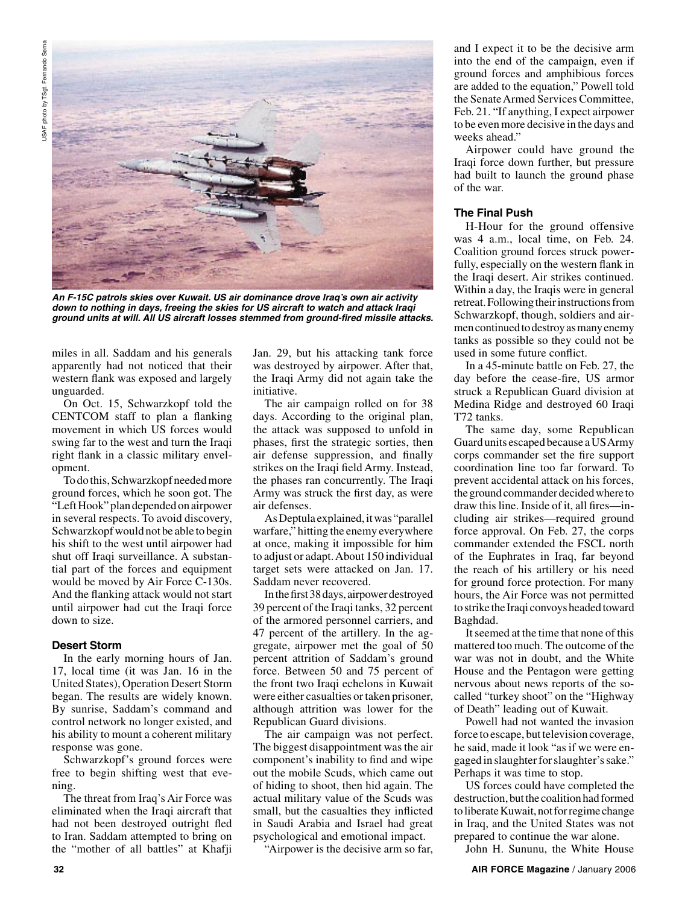

**An F-15C patrols skies over Kuwait. US air dominance drove Iraq's own air activity down to nothing in days, freeing the skies for US aircraft to watch and attack Iraqi ground units at will. All US aircraft losses stemmed from ground-fired missile attacks.**

miles in all. Saddam and his generals apparently had not noticed that their western flank was exposed and largely unguarded.

On Oct. 15, Schwarzkopf told the CENTCOM staff to plan a flanking movement in which US forces would swing far to the west and turn the Iraqi right flank in a classic military envelopment.

To do this, Schwarzkopf needed more ground forces, which he soon got. The "Left Hook" plan depended on airpower in several respects. To avoid discovery, Schwarzkopf would not be able to begin his shift to the west until airpower had shut off Iraqi surveillance. A substantial part of the forces and equipment would be moved by Air Force C-130s. And the flanking attack would not start until airpower had cut the Iraqi force down to size.

# **Desert Storm**

In the early morning hours of Jan. 17, local time (it was Jan. 16 in the United States), Operation Desert Storm began. The results are widely known. By sunrise, Saddam's command and control network no longer existed, and his ability to mount a coherent military response was gone.

Schwarzkopf's ground forces were free to begin shifting west that evening.

The threat from Iraq's Air Force was eliminated when the Iraqi aircraft that had not been destroyed outright fled to Iran. Saddam attempted to bring on the "mother of all battles" at Khafji Jan. 29, but his attacking tank force was destroyed by airpower. After that, the Iraqi Army did not again take the initiative.

The air campaign rolled on for 38 days. According to the original plan, the attack was supposed to unfold in phases, first the strategic sorties, then air defense suppression, and finally strikes on the Iraqi field Army. Instead, the phases ran concurrently. The Iraqi Army was struck the first day, as were air defenses.

As Deptula explained, it was "parallel warfare," hitting the enemy everywhere at once, making it impossible for him to adjust or adapt. About 150 individual target sets were attacked on Jan. 17. Saddam never recovered.

In the first 38 days, airpower destroyed 39 percent of the Iraqi tanks, 32 percent of the armored personnel carriers, and 47 percent of the artillery. In the aggregate, airpower met the goal of 50 percent attrition of Saddam's ground force. Between 50 and 75 percent of the front two Iraqi echelons in Kuwait were either casualties or taken prisoner, although attrition was lower for the Republican Guard divisions.

The air campaign was not perfect. The biggest disappointment was the air component's inability to find and wipe out the mobile Scuds, which came out of hiding to shoot, then hid again. The actual military value of the Scuds was small, but the casualties they inflicted in Saudi Arabia and Israel had great psychological and emotional impact.

"Airpower is the decisive arm so far,

and I expect it to be the decisive arm into the end of the campaign, even if ground forces and amphibious forces are added to the equation," Powell told the Senate Armed Services Committee, Feb. 21. "If anything, I expect airpower to be even more decisive in the days and weeks ahead."

Airpower could have ground the Iraqi force down further, but pressure had built to launch the ground phase of the war.

# **The Final Push**

H-Hour for the ground offensive was 4 a.m., local time, on Feb. 24. Coalition ground forces struck powerfully, especially on the western flank in the Iraqi desert. Air strikes continued. Within a day, the Iraqis were in general retreat. Following their instructions from Schwarzkopf, though, soldiers and airmen continued to destroy as many enemy tanks as possible so they could not be used in some future conflict.

In a 45-minute battle on Feb. 27, the day before the cease-fire, US armor struck a Republican Guard division at Medina Ridge and destroyed 60 Iraqi T72 tanks.

The same day, some Republican Guard units escaped because a US Army corps commander set the fire support coordination line too far forward. To prevent accidental attack on his forces, the ground commander decided where to draw this line. Inside of it, all fires—including air strikes—required ground force approval. On Feb. 27, the corps commander extended the FSCL north of the Euphrates in Iraq, far beyond the reach of his artillery or his need for ground force protection. For many hours, the Air Force was not permitted to strike the Iraqi convoys headed toward Baghdad.

It seemed at the time that none of this mattered too much. The outcome of the war was not in doubt, and the White House and the Pentagon were getting nervous about news reports of the socalled "turkey shoot" on the "Highway of Death" leading out of Kuwait.

Powell had not wanted the invasion force to escape, but television coverage, he said, made it look "as if we were engaged in slaughter for slaughter's sake." Perhaps it was time to stop.

US forces could have completed the destruction, but the coalition had formed to liberate Kuwait, not for regime change in Iraq, and the United States was not prepared to continue the war alone.

John H. Sununu, the White House